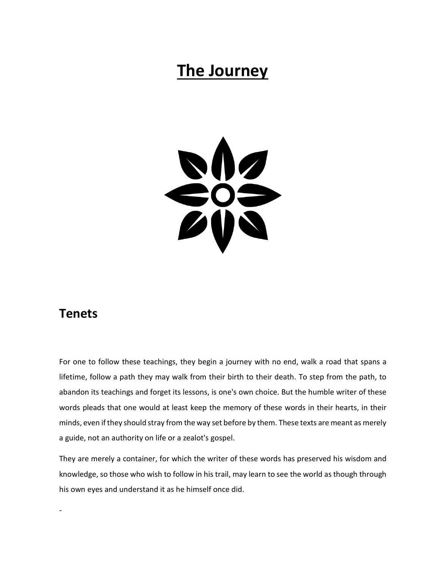# **The Journey**



### **Tenets**

-

For one to follow these teachings, they begin a journey with no end, walk a road that spans a lifetime, follow a path they may walk from their birth to their death. To step from the path, to abandon its teachings and forget its lessons, is one's own choice. But the humble writer of these words pleads that one would at least keep the memory of these words in their hearts, in their minds, even if they should stray from the way set before by them. These texts are meant as merely a guide, not an authority on life or a zealot's gospel.

They are merely a container, for which the writer of these words has preserved his wisdom and knowledge, so those who wish to follow in his trail, may learn to see the world as though through his own eyes and understand it as he himself once did.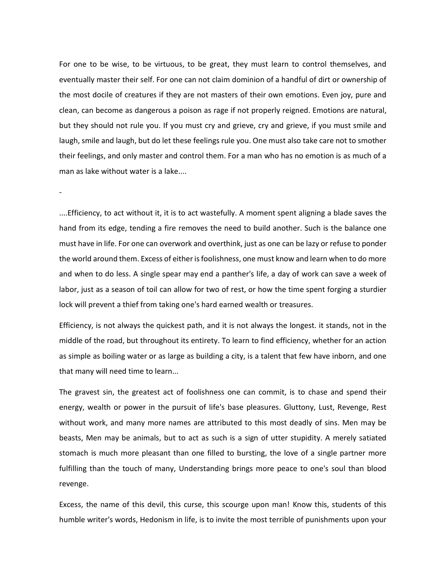For one to be wise, to be virtuous, to be great, they must learn to control themselves, and eventually master their self. For one can not claim dominion of a handful of dirt or ownership of the most docile of creatures if they are not masters of their own emotions. Even joy, pure and clean, can become as dangerous a poison as rage if not properly reigned. Emotions are natural, but they should not rule you. If you must cry and grieve, cry and grieve, if you must smile and laugh, smile and laugh, but do let these feelings rule you. One must also take care not to smother their feelings, and only master and control them. For a man who has no emotion is as much of a man as lake without water is a lake....

....Efficiency, to act without it, it is to act wastefully. A moment spent aligning a blade saves the hand from its edge, tending a fire removes the need to build another. Such is the balance one must have in life. For one can overwork and overthink, just as one can be lazy or refuse to ponder the world around them. Excess of either is foolishness, one must know and learn when to do more and when to do less. A single spear may end a panther's life, a day of work can save a week of labor, just as a season of toil can allow for two of rest, or how the time spent forging a sturdier lock will prevent a thief from taking one's hard earned wealth or treasures.

-

Efficiency, is not always the quickest path, and it is not always the longest. it stands, not in the middle of the road, but throughout its entirety. To learn to find efficiency, whether for an action as simple as boiling water or as large as building a city, is a talent that few have inborn, and one that many will need time to learn...

The gravest sin, the greatest act of foolishness one can commit, is to chase and spend their energy, wealth or power in the pursuit of life's base pleasures. Gluttony, Lust, Revenge, Rest without work, and many more names are attributed to this most deadly of sins. Men may be beasts, Men may be animals, but to act as such is a sign of utter stupidity. A merely satiated stomach is much more pleasant than one filled to bursting, the love of a single partner more fulfilling than the touch of many, Understanding brings more peace to one's soul than blood revenge.

Excess, the name of this devil, this curse, this scourge upon man! Know this, students of this humble writer's words, Hedonism in life, is to invite the most terrible of punishments upon your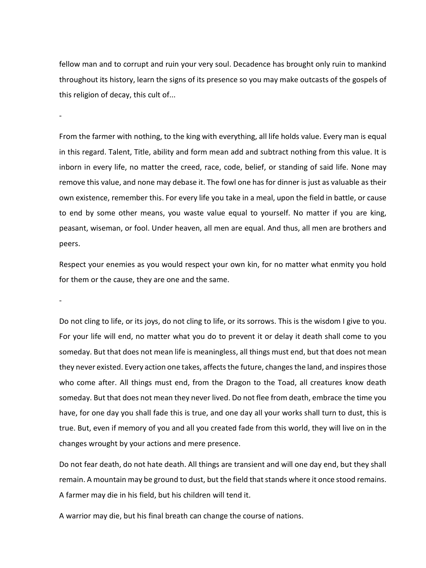fellow man and to corrupt and ruin your very soul. Decadence has brought only ruin to mankind throughout its history, learn the signs of its presence so you may make outcasts of the gospels of this religion of decay, this cult of...

-

From the farmer with nothing, to the king with everything, all life holds value. Every man is equal in this regard. Talent, Title, ability and form mean add and subtract nothing from this value. It is inborn in every life, no matter the creed, race, code, belief, or standing of said life. None may remove this value, and none may debase it. The fowl one has for dinner is just as valuable as their own existence, remember this. For every life you take in a meal, upon the field in battle, or cause to end by some other means, you waste value equal to yourself. No matter if you are king, peasant, wiseman, or fool. Under heaven, all men are equal. And thus, all men are brothers and peers.

Respect your enemies as you would respect your own kin, for no matter what enmity you hold for them or the cause, they are one and the same.

-

Do not cling to life, or its joys, do not cling to life, or its sorrows. This is the wisdom I give to you. For your life will end, no matter what you do to prevent it or delay it death shall come to you someday. But that does not mean life is meaningless, all things must end, but that does not mean they never existed. Every action one takes, affects the future, changes the land, and inspires those who come after. All things must end, from the Dragon to the Toad, all creatures know death someday. But that does not mean they never lived. Do not flee from death, embrace the time you have, for one day you shall fade this is true, and one day all your works shall turn to dust, this is true. But, even if memory of you and all you created fade from this world, they will live on in the changes wrought by your actions and mere presence.

Do not fear death, do not hate death. All things are transient and will one day end, but they shall remain. A mountain may be ground to dust, but the field that stands where it once stood remains. A farmer may die in his field, but his children will tend it.

A warrior may die, but his final breath can change the course of nations.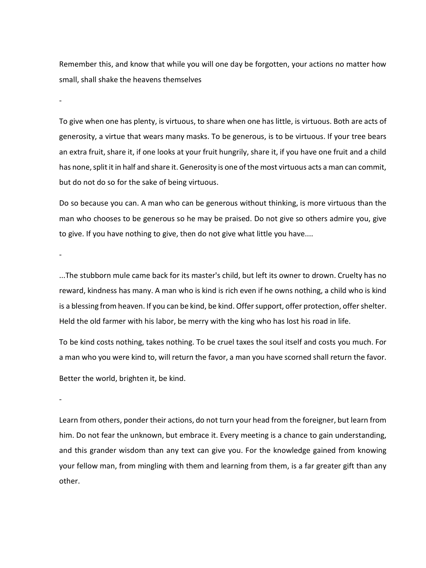Remember this, and know that while you will one day be forgotten, your actions no matter how small, shall shake the heavens themselves

-

To give when one has plenty, is virtuous, to share when one has little, is virtuous. Both are acts of generosity, a virtue that wears many masks. To be generous, is to be virtuous. If your tree bears an extra fruit, share it, if one looks at your fruit hungrily, share it, if you have one fruit and a child has none, split it in half and share it. Generosity is one of the most virtuous acts a man can commit, but do not do so for the sake of being virtuous.

Do so because you can. A man who can be generous without thinking, is more virtuous than the man who chooses to be generous so he may be praised. Do not give so others admire you, give to give. If you have nothing to give, then do not give what little you have....

-

...The stubborn mule came back for its master's child, but left its owner to drown. Cruelty has no reward, kindness has many. A man who is kind is rich even if he owns nothing, a child who is kind is a blessing from heaven. If you can be kind, be kind. Offer support, offer protection, offer shelter. Held the old farmer with his labor, be merry with the king who has lost his road in life.

To be kind costs nothing, takes nothing. To be cruel taxes the soul itself and costs you much. For a man who you were kind to, will return the favor, a man you have scorned shall return the favor.

Better the world, brighten it, be kind.

-

Learn from others, ponder their actions, do not turn your head from the foreigner, but learn from him. Do not fear the unknown, but embrace it. Every meeting is a chance to gain understanding, and this grander wisdom than any text can give you. For the knowledge gained from knowing your fellow man, from mingling with them and learning from them, is a far greater gift than any other.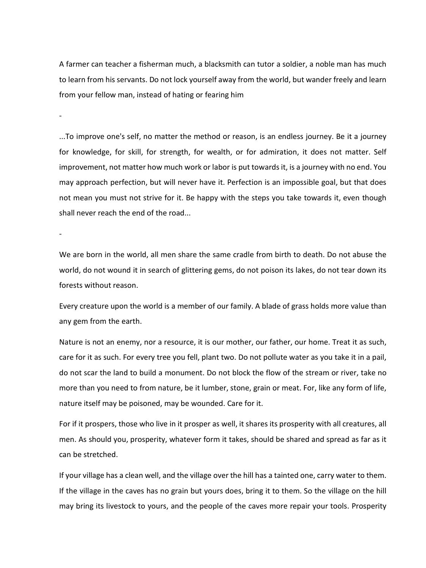A farmer can teacher a fisherman much, a blacksmith can tutor a soldier, a noble man has much to learn from his servants. Do not lock yourself away from the world, but wander freely and learn from your fellow man, instead of hating or fearing him

-

-

...To improve one's self, no matter the method or reason, is an endless journey. Be it a journey for knowledge, for skill, for strength, for wealth, or for admiration, it does not matter. Self improvement, not matter how much work or labor is put towards it, is a journey with no end. You may approach perfection, but will never have it. Perfection is an impossible goal, but that does not mean you must not strive for it. Be happy with the steps you take towards it, even though shall never reach the end of the road...

We are born in the world, all men share the same cradle from birth to death. Do not abuse the world, do not wound it in search of glittering gems, do not poison its lakes, do not tear down its forests without reason.

Every creature upon the world is a member of our family. A blade of grass holds more value than any gem from the earth.

Nature is not an enemy, nor a resource, it is our mother, our father, our home. Treat it as such, care for it as such. For every tree you fell, plant two. Do not pollute water as you take it in a pail, do not scar the land to build a monument. Do not block the flow of the stream or river, take no more than you need to from nature, be it lumber, stone, grain or meat. For, like any form of life, nature itself may be poisoned, may be wounded. Care for it.

For if it prospers, those who live in it prosper as well, it shares its prosperity with all creatures, all men. As should you, prosperity, whatever form it takes, should be shared and spread as far as it can be stretched.

If your village has a clean well, and the village over the hill has a tainted one, carry water to them. If the village in the caves has no grain but yours does, bring it to them. So the village on the hill may bring its livestock to yours, and the people of the caves more repair your tools. Prosperity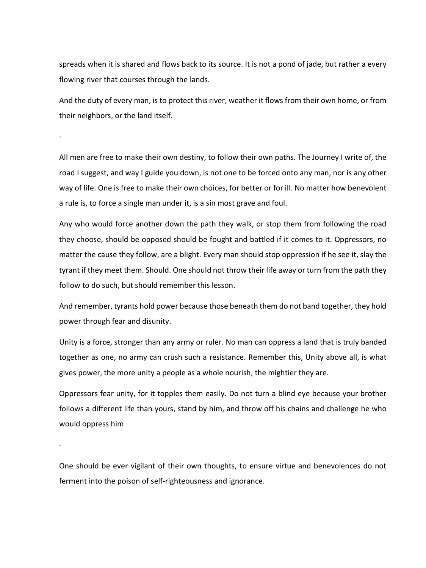spreads when it is shared and flows back to its source. It is not a pond of jade, but rather a every flowing river that courses through the lands.

And the duty of every man, is to protect this river, weather it flows from their own home, or from their neighbors, or the land itself.

-

All men are free to make their own destiny, to follow their own paths. The Journey I write of, the road I suggest, and way I guide you down, is not one to be forced onto any man, nor is any other way of life. One is free to make their own choices, for better or for ill. No matter how benevolent a rule is, to force a single man under it, is a sin most grave and foul.

Any who would force another down the path they walk, or stop them from following the road they choose, should be opposed should be fought and battled if it comes to it. Oppressors, no matter the cause they follow, are a blight. Every man should stop oppression if he see it, slay the tyrant if they meet them. Should. One should not throw their life away or turn from the path they follow to do such, but should remember this lesson.

And remember, tyrants hold power because those beneath them do not band together, they hold power through fear and disunity.

Unity is a force, stronger than any army or ruler. No man can oppress a land that is truly banded together as one, no army can crush such a resistance. Remember this, Unity above all, is what gives power, the more unity a people as a whole nourish, the mightier they are.

Oppressors fear unity, for it topples them easily. Do not turn a blind eye because your brother follows a different life than yours, stand by him, and throw off his chains and challenge he who would oppress him

-

One should be ever vigilant of their own thoughts, to ensure virtue and benevolences do not ferment into the poison of self-righteousness and ignorance.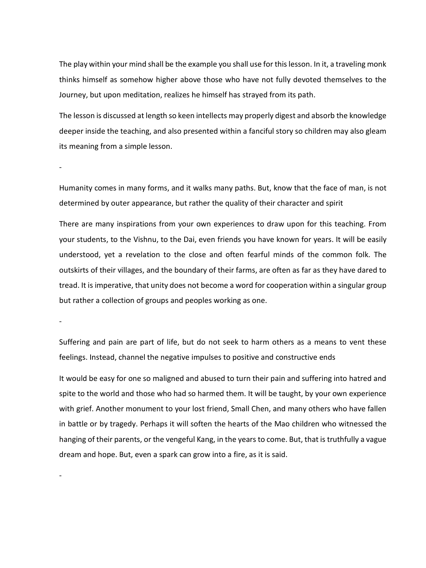The play within your mind shall be the example you shall use for this lesson. In it, a traveling monk thinks himself as somehow higher above those who have not fully devoted themselves to the Journey, but upon meditation, realizes he himself has strayed from its path.

The lesson is discussed at length so keen intellects may properly digest and absorb the knowledge deeper inside the teaching, and also presented within a fanciful story so children may also gleam its meaning from a simple lesson.

-

Humanity comes in many forms, and it walks many paths. But, know that the face of man, is not determined by outer appearance, but rather the quality of their character and spirit

There are many inspirations from your own experiences to draw upon for this teaching. From your students, to the Vishnu, to the Dai, even friends you have known for years. It will be easily understood, yet a revelation to the close and often fearful minds of the common folk. The outskirts of their villages, and the boundary of their farms, are often as far as they have dared to tread. It is imperative, that unity does not become a word for cooperation within a singular group but rather a collection of groups and peoples working as one.

-

Suffering and pain are part of life, but do not seek to harm others as a means to vent these feelings. Instead, channel the negative impulses to positive and constructive ends

It would be easy for one so maligned and abused to turn their pain and suffering into hatred and spite to the world and those who had so harmed them. It will be taught, by your own experience with grief. Another monument to your lost friend, Small Chen, and many others who have fallen in battle or by tragedy. Perhaps it will soften the hearts of the Mao children who witnessed the hanging of their parents, or the vengeful Kang, in the years to come. But, that is truthfully a vague dream and hope. But, even a spark can grow into a fire, as it is said.

-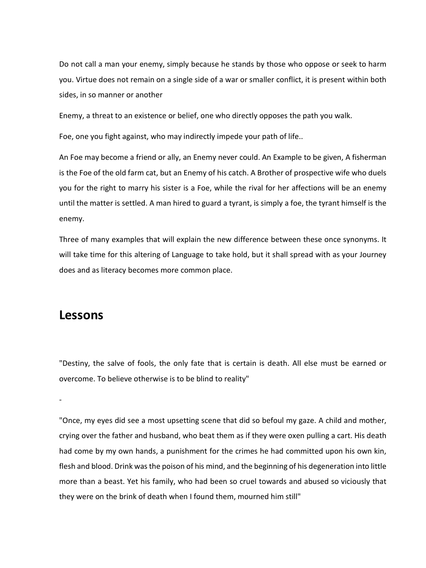Do not call a man your enemy, simply because he stands by those who oppose or seek to harm you. Virtue does not remain on a single side of a war or smaller conflict, it is present within both sides, in so manner or another

Enemy, a threat to an existence or belief, one who directly opposes the path you walk.

Foe, one you fight against, who may indirectly impede your path of life..

An Foe may become a friend or ally, an Enemy never could. An Example to be given, A fisherman is the Foe of the old farm cat, but an Enemy of his catch. A Brother of prospective wife who duels you for the right to marry his sister is a Foe, while the rival for her affections will be an enemy until the matter is settled. A man hired to guard a tyrant, is simply a foe, the tyrant himself is the enemy.

Three of many examples that will explain the new difference between these once synonyms. It will take time for this altering of Language to take hold, but it shall spread with as your Journey does and as literacy becomes more common place.

#### **Lessons**

"Destiny, the salve of fools, the only fate that is certain is death. All else must be earned or overcome. To believe otherwise is to be blind to reality"

-

"Once, my eyes did see a most upsetting scene that did so befoul my gaze. A child and mother, crying over the father and husband, who beat them as if they were oxen pulling a cart. His death had come by my own hands, a punishment for the crimes he had committed upon his own kin, flesh and blood. Drink was the poison of his mind, and the beginning of his degeneration into little more than a beast. Yet his family, who had been so cruel towards and abused so viciously that they were on the brink of death when I found them, mourned him still"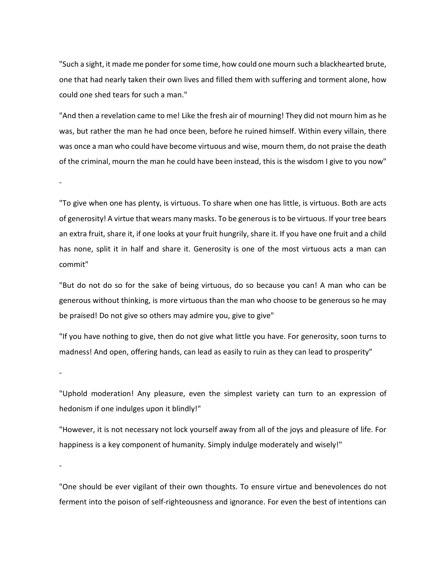"Such a sight, it made me ponder for some time, how could one mourn such a blackhearted brute, one that had nearly taken their own lives and filled them with suffering and torment alone, how could one shed tears for such a man."

"And then a revelation came to me! Like the fresh air of mourning! They did not mourn him as he was, but rather the man he had once been, before he ruined himself. Within every villain, there was once a man who could have become virtuous and wise, mourn them, do not praise the death of the criminal, mourn the man he could have been instead, this is the wisdom I give to you now"

-

"To give when one has plenty, is virtuous. To share when one has little, is virtuous. Both are acts of generosity! A virtue that wears many masks. To be generousis to be virtuous. If your tree bears an extra fruit, share it, if one looks at your fruit hungrily, share it. If you have one fruit and a child has none, split it in half and share it. Generosity is one of the most virtuous acts a man can commit"

"But do not do so for the sake of being virtuous, do so because you can! A man who can be generous without thinking, is more virtuous than the man who choose to be generous so he may be praised! Do not give so others may admire you, give to give"

"If you have nothing to give, then do not give what little you have. For generosity, soon turns to madness! And open, offering hands, can lead as easily to ruin as they can lead to prosperity"

-

"Uphold moderation! Any pleasure, even the simplest variety can turn to an expression of hedonism if one indulges upon it blindly!"

"However, it is not necessary not lock yourself away from all of the joys and pleasure of life. For happiness is a key component of humanity. Simply indulge moderately and wisely!"

-

"One should be ever vigilant of their own thoughts. To ensure virtue and benevolences do not ferment into the poison of self-righteousness and ignorance. For even the best of intentions can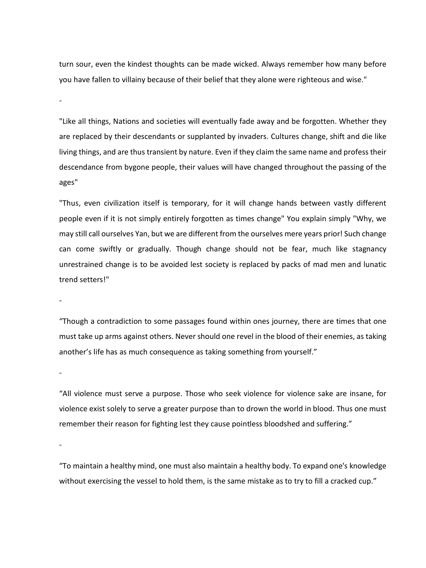turn sour, even the kindest thoughts can be made wicked. Always remember how many before you have fallen to villainy because of their belief that they alone were righteous and wise."

"Like all things, Nations and societies will eventually fade away and be forgotten. Whether they are replaced by their descendants or supplanted by invaders. Cultures change, shift and die like living things, and are thus transient by nature. Even if they claim the same name and profess their descendance from bygone people, their values will have changed throughout the passing of the ages"

"Thus, even civilization itself is temporary, for it will change hands between vastly different people even if it is not simply entirely forgotten as times change" You explain simply "Why, we may still call ourselves Yan, but we are different from the ourselves mere years prior! Such change can come swiftly or gradually. Though change should not be fear, much like stagnancy unrestrained change is to be avoided lest society is replaced by packs of mad men and lunatic trend setters!"

-

-

"Though a contradiction to some passages found within ones journey, there are times that one must take up arms against others. Never should one revel in the blood of their enemies, as taking another's life has as much consequence as taking something from yourself."

-

"All violence must serve a purpose. Those who seek violence for violence sake are insane, for violence exist solely to serve a greater purpose than to drown the world in blood. Thus one must remember their reason for fighting lest they cause pointless bloodshed and suffering."

-

"To maintain a healthy mind, one must also maintain a healthy body. To expand one's knowledge without exercising the vessel to hold them, is the same mistake as to try to fill a cracked cup."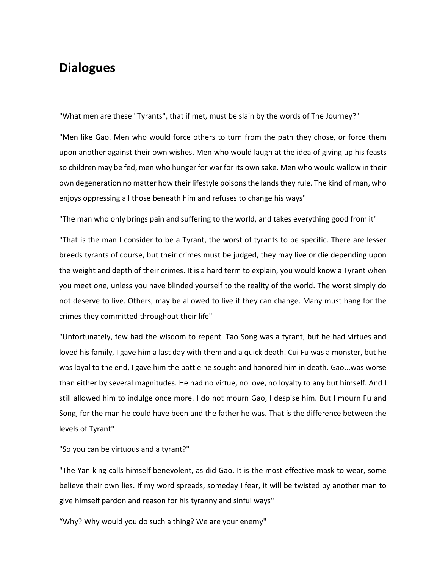## **Dialogues**

"What men are these "Tyrants", that if met, must be slain by the words of The Journey?"

"Men like Gao. Men who would force others to turn from the path they chose, or force them upon another against their own wishes. Men who would laugh at the idea of giving up his feasts so children may be fed, men who hunger for war for its own sake. Men who would wallow in their own degeneration no matter how their lifestyle poisons the lands they rule. The kind of man, who enjoys oppressing all those beneath him and refuses to change his ways"

"The man who only brings pain and suffering to the world, and takes everything good from it"

"That is the man I consider to be a Tyrant, the worst of tyrants to be specific. There are lesser breeds tyrants of course, but their crimes must be judged, they may live or die depending upon the weight and depth of their crimes. It is a hard term to explain, you would know a Tyrant when you meet one, unless you have blinded yourself to the reality of the world. The worst simply do not deserve to live. Others, may be allowed to live if they can change. Many must hang for the crimes they committed throughout their life"

"Unfortunately, few had the wisdom to repent. Tao Song was a tyrant, but he had virtues and loved his family, I gave him a last day with them and a quick death. Cui Fu was a monster, but he was loyal to the end, I gave him the battle he sought and honored him in death. Gao...was worse than either by several magnitudes. He had no virtue, no love, no loyalty to any but himself. And I still allowed him to indulge once more. I do not mourn Gao, I despise him. But I mourn Fu and Song, for the man he could have been and the father he was. That is the difference between the levels of Tyrant"

"So you can be virtuous and a tyrant?"

"The Yan king calls himself benevolent, as did Gao. It is the most effective mask to wear, some believe their own lies. If my word spreads, someday I fear, it will be twisted by another man to give himself pardon and reason for his tyranny and sinful ways"

"Why? Why would you do such a thing? We are your enemy"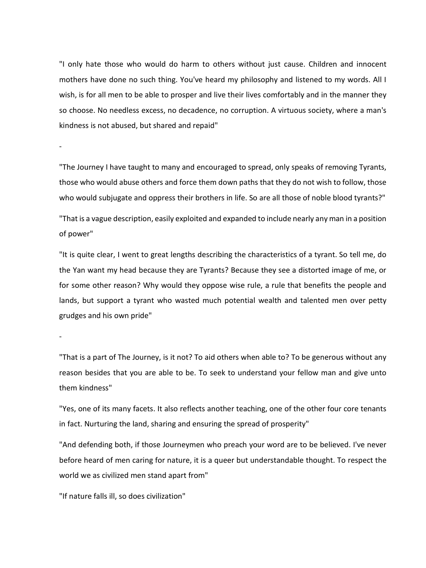"I only hate those who would do harm to others without just cause. Children and innocent mothers have done no such thing. You've heard my philosophy and listened to my words. All I wish, is for all men to be able to prosper and live their lives comfortably and in the manner they so choose. No needless excess, no decadence, no corruption. A virtuous society, where a man's kindness is not abused, but shared and repaid"

"The Journey I have taught to many and encouraged to spread, only speaks of removing Tyrants, those who would abuse others and force them down paths that they do not wish to follow, those who would subjugate and oppress their brothers in life. So are all those of noble blood tyrants?"

"That is a vague description, easily exploited and expanded to include nearly any man in a position of power"

"It is quite clear, I went to great lengths describing the characteristics of a tyrant. So tell me, do the Yan want my head because they are Tyrants? Because they see a distorted image of me, or for some other reason? Why would they oppose wise rule, a rule that benefits the people and lands, but support a tyrant who wasted much potential wealth and talented men over petty grudges and his own pride"

-

-

"That is a part of The Journey, is it not? To aid others when able to? To be generous without any reason besides that you are able to be. To seek to understand your fellow man and give unto them kindness"

"Yes, one of its many facets. It also reflects another teaching, one of the other four core tenants in fact. Nurturing the land, sharing and ensuring the spread of prosperity"

"And defending both, if those Journeymen who preach your word are to be believed. I've never before heard of men caring for nature, it is a queer but understandable thought. To respect the world we as civilized men stand apart from"

"If nature falls ill, so does civilization"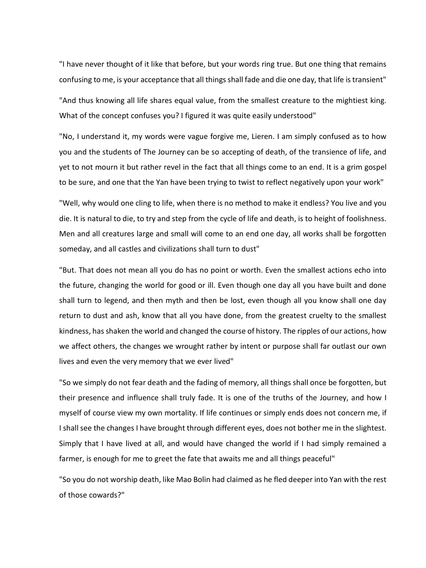"I have never thought of it like that before, but your words ring true. But one thing that remains confusing to me, is your acceptance that all things shall fade and die one day, that life is transient"

"And thus knowing all life shares equal value, from the smallest creature to the mightiest king. What of the concept confuses you? I figured it was quite easily understood"

"No, I understand it, my words were vague forgive me, Lieren. I am simply confused as to how you and the students of The Journey can be so accepting of death, of the transience of life, and yet to not mourn it but rather revel in the fact that all things come to an end. It is a grim gospel to be sure, and one that the Yan have been trying to twist to reflect negatively upon your work"

"Well, why would one cling to life, when there is no method to make it endless? You live and you die. It is natural to die, to try and step from the cycle of life and death, is to height of foolishness. Men and all creatures large and small will come to an end one day, all works shall be forgotten someday, and all castles and civilizations shall turn to dust"

"But. That does not mean all you do has no point or worth. Even the smallest actions echo into the future, changing the world for good or ill. Even though one day all you have built and done shall turn to legend, and then myth and then be lost, even though all you know shall one day return to dust and ash, know that all you have done, from the greatest cruelty to the smallest kindness, has shaken the world and changed the course of history. The ripples of our actions, how we affect others, the changes we wrought rather by intent or purpose shall far outlast our own lives and even the very memory that we ever lived"

"So we simply do not fear death and the fading of memory, all things shall once be forgotten, but their presence and influence shall truly fade. It is one of the truths of the Journey, and how I myself of course view my own mortality. If life continues or simply ends does not concern me, if I shall see the changes I have brought through different eyes, does not bother me in the slightest. Simply that I have lived at all, and would have changed the world if I had simply remained a farmer, is enough for me to greet the fate that awaits me and all things peaceful"

"So you do not worship death, like Mao Bolin had claimed as he fled deeper into Yan with the rest of those cowards?"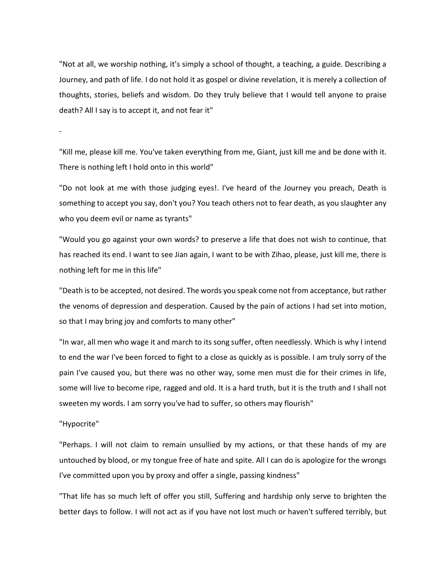"Not at all, we worship nothing, it's simply a school of thought, a teaching, a guide. Describing a Journey, and path of life. I do not hold it as gospel or divine revelation, it is merely a collection of thoughts, stories, beliefs and wisdom. Do they truly believe that I would tell anyone to praise death? All I say is to accept it, and not fear it"

-

"Kill me, please kill me. You've taken everything from me, Giant, just kill me and be done with it. There is nothing left I hold onto in this world"

"Do not look at me with those judging eyes!. I've heard of the Journey you preach, Death is something to accept you say, don't you? You teach others not to fear death, as you slaughter any who you deem evil or name as tyrants"

"Would you go against your own words? to preserve a life that does not wish to continue, that has reached its end. I want to see Jian again, I want to be with Zihao, please, just kill me, there is nothing left for me in this life"

"Death is to be accepted, not desired. The words you speak come not from acceptance, but rather the venoms of depression and desperation. Caused by the pain of actions I had set into motion, so that I may bring joy and comforts to many other"

"In war, all men who wage it and march to its song suffer, often needlessly. Which is why I intend to end the war I've been forced to fight to a close as quickly as is possible. I am truly sorry of the pain I've caused you, but there was no other way, some men must die for their crimes in life, some will live to become ripe, ragged and old. It is a hard truth, but it is the truth and I shall not sweeten my words. I am sorry you've had to suffer, so others may flourish"

#### "Hypocrite"

"Perhaps. I will not claim to remain unsullied by my actions, or that these hands of my are untouched by blood, or my tongue free of hate and spite. All I can do is apologize for the wrongs I've committed upon you by proxy and offer a single, passing kindness"

"That life has so much left of offer you still, Suffering and hardship only serve to brighten the better days to follow. I will not act as if you have not lost much or haven't suffered terribly, but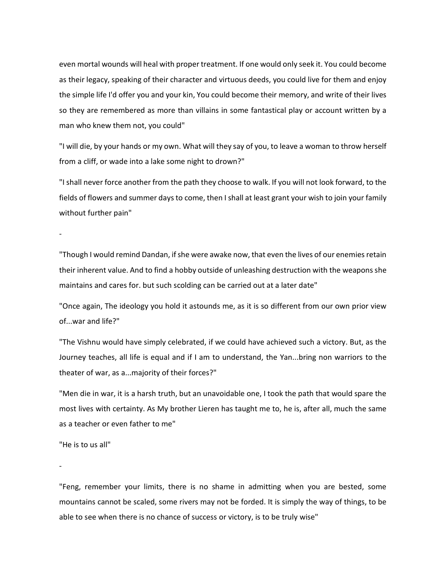even mortal wounds will heal with proper treatment. If one would only seek it. You could become as their legacy, speaking of their character and virtuous deeds, you could live for them and enjoy the simple life I'd offer you and your kin, You could become their memory, and write of their lives so they are remembered as more than villains in some fantastical play or account written by a man who knew them not, you could"

"I will die, by your hands or my own. What will they say of you, to leave a woman to throw herself from a cliff, or wade into a lake some night to drown?"

"I shall never force another from the path they choose to walk. If you will not look forward, to the fields of flowers and summer days to come, then I shall at least grant your wish to join your family without further pain"

-

"Though I would remind Dandan, if she were awake now, that even the lives of our enemies retain their inherent value. And to find a hobby outside of unleashing destruction with the weapons she maintains and cares for. but such scolding can be carried out at a later date"

"Once again, The ideology you hold it astounds me, as it is so different from our own prior view of...war and life?"

"The Vishnu would have simply celebrated, if we could have achieved such a victory. But, as the Journey teaches, all life is equal and if I am to understand, the Yan...bring non warriors to the theater of war, as a...majority of their forces?"

"Men die in war, it is a harsh truth, but an unavoidable one, I took the path that would spare the most lives with certainty. As My brother Lieren has taught me to, he is, after all, much the same as a teacher or even father to me"

"He is to us all"

-

"Feng, remember your limits, there is no shame in admitting when you are bested, some mountains cannot be scaled, some rivers may not be forded. It is simply the way of things, to be able to see when there is no chance of success or victory, is to be truly wise"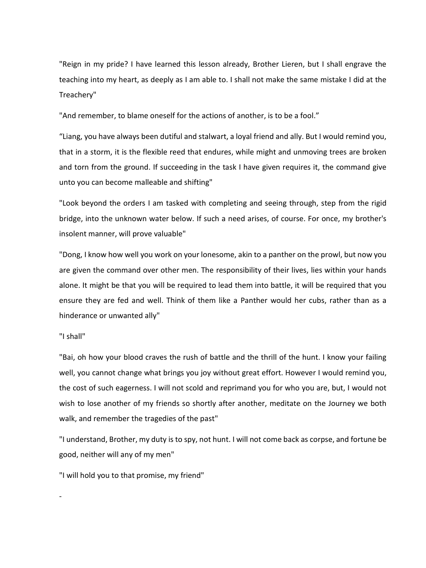"Reign in my pride? I have learned this lesson already, Brother Lieren, but I shall engrave the teaching into my heart, as deeply as I am able to. I shall not make the same mistake I did at the Treachery"

"And remember, to blame oneself for the actions of another, is to be a fool."

"Liang, you have always been dutiful and stalwart, a loyal friend and ally. But I would remind you, that in a storm, it is the flexible reed that endures, while might and unmoving trees are broken and torn from the ground. If succeeding in the task I have given requires it, the command give unto you can become malleable and shifting"

"Look beyond the orders I am tasked with completing and seeing through, step from the rigid bridge, into the unknown water below. If such a need arises, of course. For once, my brother's insolent manner, will prove valuable"

"Dong, I know how well you work on your lonesome, akin to a panther on the prowl, but now you are given the command over other men. The responsibility of their lives, lies within your hands alone. It might be that you will be required to lead them into battle, it will be required that you ensure they are fed and well. Think of them like a Panther would her cubs, rather than as a hinderance or unwanted ally"

#### "I shall"

"Bai, oh how your blood craves the rush of battle and the thrill of the hunt. I know your failing well, you cannot change what brings you joy without great effort. However I would remind you, the cost of such eagerness. I will not scold and reprimand you for who you are, but, I would not wish to lose another of my friends so shortly after another, meditate on the Journey we both walk, and remember the tragedies of the past"

"I understand, Brother, my duty is to spy, not hunt. I will not come back as corpse, and fortune be good, neither will any of my men"

"I will hold you to that promise, my friend"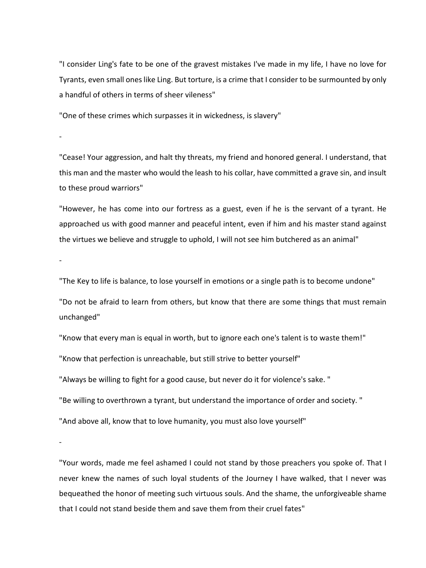"I consider Ling's fate to be one of the gravest mistakes I've made in my life, I have no love for Tyrants, even small ones like Ling. But torture, is a crime that I consider to be surmounted by only a handful of others in terms of sheer vileness"

"One of these crimes which surpasses it in wickedness, is slavery"

"Cease! Your aggression, and halt thy threats, my friend and honored general. I understand, that this man and the master who would the leash to his collar, have committed a grave sin, and insult to these proud warriors"

"However, he has come into our fortress as a guest, even if he is the servant of a tyrant. He approached us with good manner and peaceful intent, even if him and his master stand against the virtues we believe and struggle to uphold, I will not see him butchered as an animal"

-

-

"The Key to life is balance, to lose yourself in emotions or a single path is to become undone"

"Do not be afraid to learn from others, but know that there are some things that must remain unchanged"

"Know that every man is equal in worth, but to ignore each one's talent is to waste them!" "Know that perfection is unreachable, but still strive to better yourself"

"Always be willing to fight for a good cause, but never do it for violence's sake. "

"Be willing to overthrown a tyrant, but understand the importance of order and society. "

"And above all, know that to love humanity, you must also love yourself"

-

"Your words, made me feel ashamed I could not stand by those preachers you spoke of. That I never knew the names of such loyal students of the Journey I have walked, that I never was bequeathed the honor of meeting such virtuous souls. And the shame, the unforgiveable shame that I could not stand beside them and save them from their cruel fates"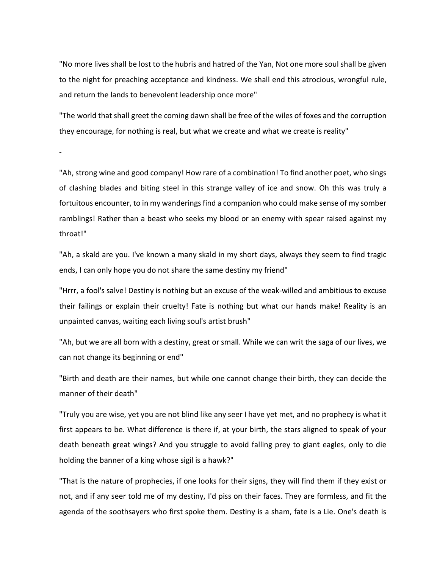"No more lives shall be lost to the hubris and hatred of the Yan, Not one more soul shall be given to the night for preaching acceptance and kindness. We shall end this atrocious, wrongful rule, and return the lands to benevolent leadership once more"

"The world that shall greet the coming dawn shall be free of the wiles of foxes and the corruption they encourage, for nothing is real, but what we create and what we create is reality"

-

"Ah, strong wine and good company! How rare of a combination! To find another poet, who sings of clashing blades and biting steel in this strange valley of ice and snow. Oh this was truly a fortuitous encounter, to in my wanderings find a companion who could make sense of my somber ramblings! Rather than a beast who seeks my blood or an enemy with spear raised against my throat!"

"Ah, a skald are you. I've known a many skald in my short days, always they seem to find tragic ends, I can only hope you do not share the same destiny my friend"

"Hrrr, a fool's salve! Destiny is nothing but an excuse of the weak-willed and ambitious to excuse their failings or explain their cruelty! Fate is nothing but what our hands make! Reality is an unpainted canvas, waiting each living soul's artist brush"

"Ah, but we are all born with a destiny, great or small. While we can writ the saga of our lives, we can not change its beginning or end"

"Birth and death are their names, but while one cannot change their birth, they can decide the manner of their death"

"Truly you are wise, yet you are not blind like any seer I have yet met, and no prophecy is what it first appears to be. What difference is there if, at your birth, the stars aligned to speak of your death beneath great wings? And you struggle to avoid falling prey to giant eagles, only to die holding the banner of a king whose sigil is a hawk?"

"That is the nature of prophecies, if one looks for their signs, they will find them if they exist or not, and if any seer told me of my destiny, I'd piss on their faces. They are formless, and fit the agenda of the soothsayers who first spoke them. Destiny is a sham, fate is a Lie. One's death is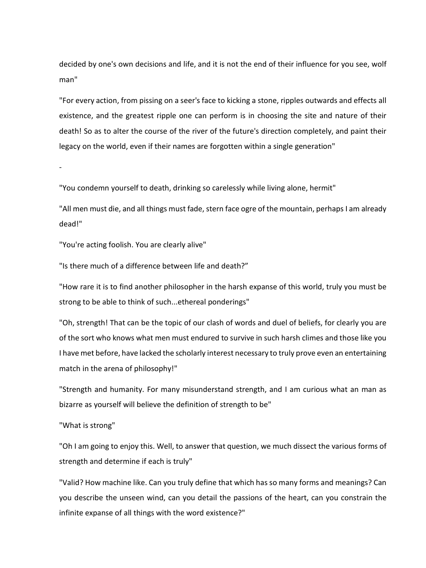decided by one's own decisions and life, and it is not the end of their influence for you see, wolf man"

"For every action, from pissing on a seer's face to kicking a stone, ripples outwards and effects all existence, and the greatest ripple one can perform is in choosing the site and nature of their death! So as to alter the course of the river of the future's direction completely, and paint their legacy on the world, even if their names are forgotten within a single generation"

-

"You condemn yourself to death, drinking so carelessly while living alone, hermit"

"All men must die, and all things must fade, stern face ogre of the mountain, perhaps I am already dead!"

"You're acting foolish. You are clearly alive"

"Is there much of a difference between life and death?"

"How rare it is to find another philosopher in the harsh expanse of this world, truly you must be strong to be able to think of such...ethereal ponderings"

"Oh, strength! That can be the topic of our clash of words and duel of beliefs, for clearly you are of the sort who knows what men must endured to survive in such harsh climes and those like you I have met before, have lacked the scholarly interest necessary to truly prove even an entertaining match in the arena of philosophy!"

"Strength and humanity. For many misunderstand strength, and I am curious what an man as bizarre as yourself will believe the definition of strength to be"

"What is strong"

"Oh I am going to enjoy this. Well, to answer that question, we much dissect the various forms of strength and determine if each is truly"

"Valid? How machine like. Can you truly define that which has so many forms and meanings? Can you describe the unseen wind, can you detail the passions of the heart, can you constrain the infinite expanse of all things with the word existence?"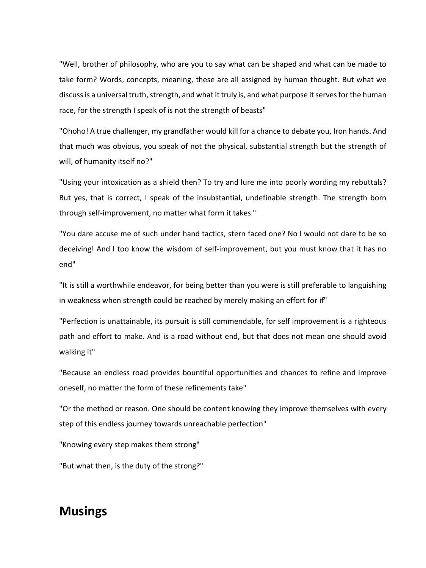"Well, brother of philosophy, who are you to say what can be shaped and what can be made to take form? Words, concepts, meaning, these are all assigned by human thought. But what we discuss is a universal truth, strength, and what it truly is, and what purpose it serves for the human race, for the strength I speak of is not the strength of beasts"

"Ohoho! A true challenger, my grandfather would kill for a chance to debate you, Iron hands. And that much was obvious, you speak of not the physical, substantial strength but the strength of will, of humanity itself no?"

"Using your intoxication as a shield then? To try and lure me into poorly wording my rebuttals? But yes, that is correct, I speak of the insubstantial, undefinable strength. The strength born through self-improvement, no matter what form it takes "

"You dare accuse me of such under hand tactics, stern faced one? No I would not dare to be so deceiving! And I too know the wisdom of self-improvement, but you must know that it has no end"

"It is still a worthwhile endeavor, for being better than you were is still preferable to languishing in weakness when strength could be reached by merely making an effort for if"

"Perfection is unattainable, its pursuit is still commendable, for self improvement is a righteous path and effort to make. And is a road without end, but that does not mean one should avoid walking it"

"Because an endless road provides bountiful opportunities and chances to refine and improve oneself, no matter the form of these refinements take"

"Or the method or reason. One should be content knowing they improve themselves with every step of this endless journey towards unreachable perfection"

"Knowing every step makes them strong"

"But what then, is the duty of the strong?"

### **Musings**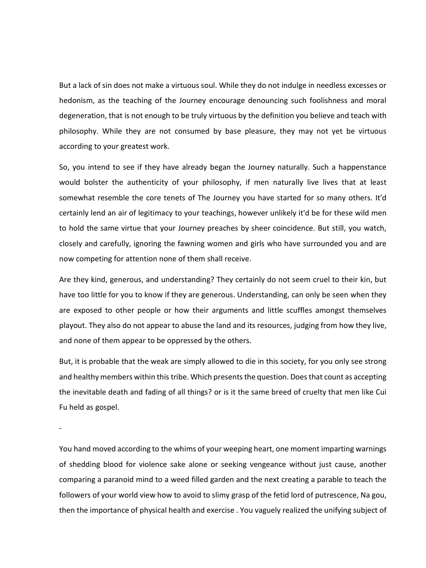But a lack of sin does not make a virtuous soul. While they do not indulge in needless excesses or hedonism, as the teaching of the Journey encourage denouncing such foolishness and moral degeneration, that is not enough to be truly virtuous by the definition you believe and teach with philosophy. While they are not consumed by base pleasure, they may not yet be virtuous according to your greatest work.

So, you intend to see if they have already began the Journey naturally. Such a happenstance would bolster the authenticity of your philosophy, if men naturally live lives that at least somewhat resemble the core tenets of The Journey you have started for so many others. It'd certainly lend an air of legitimacy to your teachings, however unlikely it'd be for these wild men to hold the same virtue that your Journey preaches by sheer coincidence. But still, you watch, closely and carefully, ignoring the fawning women and girls who have surrounded you and are now competing for attention none of them shall receive.

Are they kind, generous, and understanding? They certainly do not seem cruel to their kin, but have too little for you to know if they are generous. Understanding, can only be seen when they are exposed to other people or how their arguments and little scuffles amongst themselves playout. They also do not appear to abuse the land and its resources, judging from how they live, and none of them appear to be oppressed by the others.

But, it is probable that the weak are simply allowed to die in this society, for you only see strong and healthy members within this tribe. Which presents the question. Does that count as accepting the inevitable death and fading of all things? or is it the same breed of cruelty that men like Cui Fu held as gospel.

-

You hand moved according to the whims of your weeping heart, one moment imparting warnings of shedding blood for violence sake alone or seeking vengeance without just cause, another comparing a paranoid mind to a weed filled garden and the next creating a parable to teach the followers of your world view how to avoid to slimy grasp of the fetid lord of putrescence, Na gou, then the importance of physical health and exercise . You vaguely realized the unifying subject of